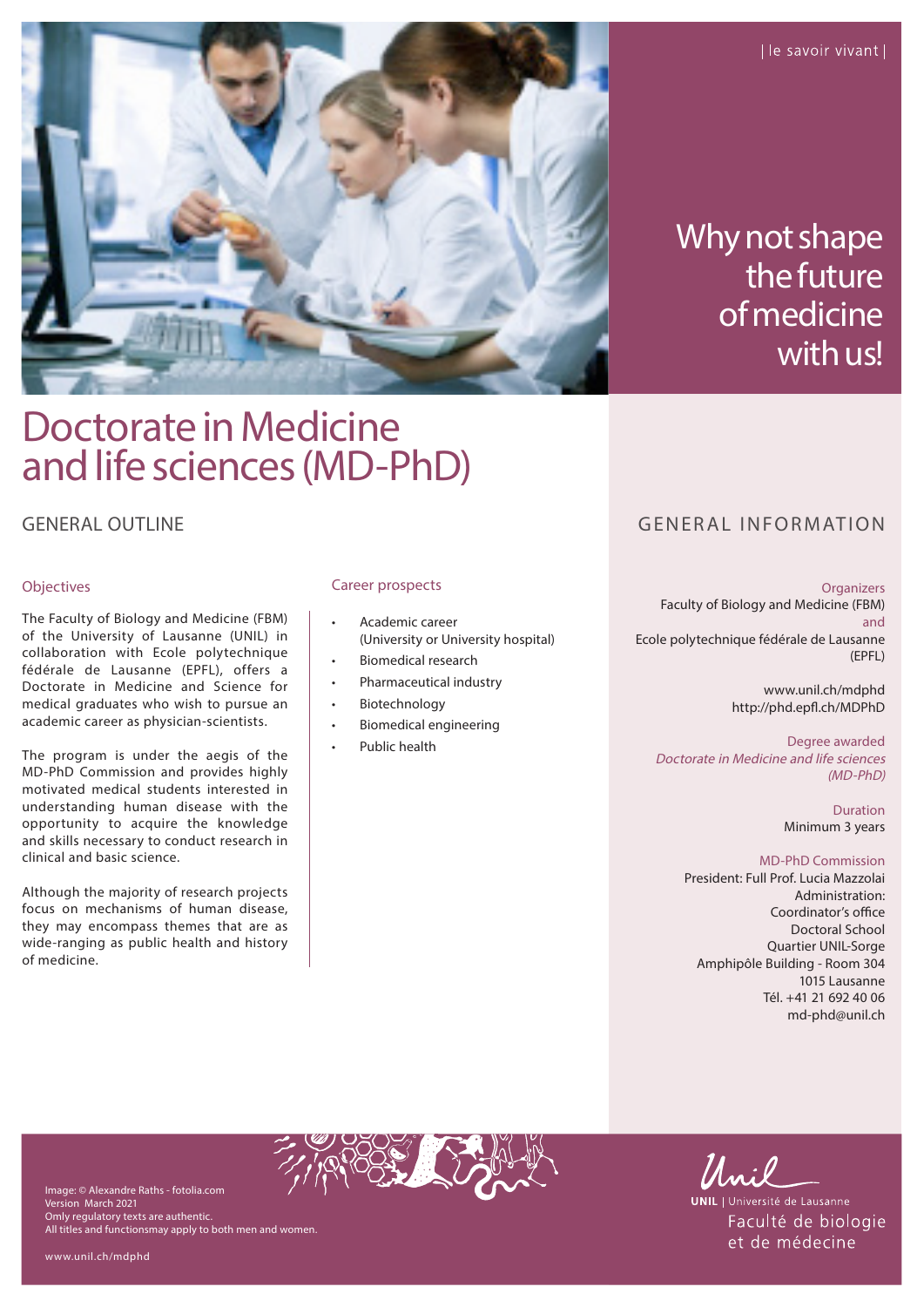

Why not shape the future of medicine with us!

# Doctorate in Medicine and life sciences (MD-PhD)

## **GENERAL OUTLINE**

## Objectives

The Faculty of Biology and Medicine (FBM) of the University of Lausanne (UNIL) in collaboration with Ecole polytechnique fédérale de Lausanne (EPFL), offers a Doctorate in Medicine and Science for medical graduates who wish to pursue an academic career as physician-scientists.

The program is under the aegis of the MD-PhD Commission and provides highly motivated medical students interested in understanding human disease with the opportunity to acquire the knowledge and skills necessary to conduct research in clinical and basic science.

Although the majority of research projects focus on mechanisms of human disease, they may encompass themes that are as wide-ranging as public health and history of medicine.

## Career prospects

- Academic career (University or University hospital)
- Biomedical research
- Pharmaceutical industry
- **Biotechnology**
- Biomedical engineering
- Public health

# GENERAL INFORMATION

#### **Organizers**

Faculty of Biology and Medicine (FBM) and Ecole polytechnique fédérale de Lausanne (EPFL)

> www.unil.ch/mdphd http://phd.epfl.ch/MDPhD

Degree awarded Doctorate in Medicine and life sciences (MD-PhD)

> Duration Minimum 3 years

#### MD-PhD Commission

President: Full Prof. Lucia Mazzolai Administration: Coordinator's office Doctoral School Quartier UNIL-Sorge Amphipôle Building - Room 304 1015 Lausanne Tél. +41 21 692 40 06 md-phd@unil.ch

Image: © Alexandre Raths - fotolia.com Version March 2021 Omly regulatory texts are authentic. All titles and functionsmay apply to both men and women.



**UNIL** | Université de Lausanne Faculté de biologie et de médecine